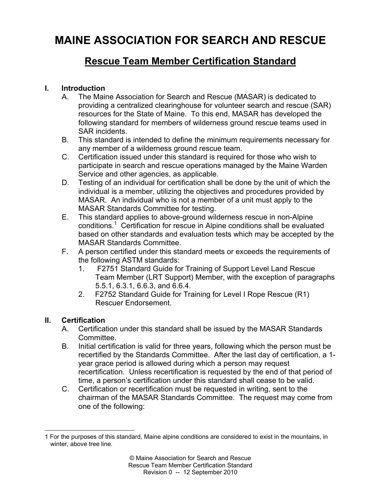# **MAINE ASSOCIATION FOR SEARCH AND RESCUE**

# **Rescue Team Member Certification Standard**

## **I. Introduction**

- A. The Maine Association for Search and Rescue (MASAR) is dedicated to providing a centralized clearinghouse for volunteer search and rescue (SAR) resources for the State of Maine. To this end, MASAR has developed the following standard for members of wilderness ground rescue teams used in SAR incidents.
- B. This standard is intended to define the minimum requirements necessary for any member of a wilderness ground rescue team.
- C. Certification issued under this standard is required for those who wish to participate in search and rescue operations managed by the Maine Warden Service and other agencies, as applicable.
- D. Testing of an individual for certification shall be done by the unit of which the individual is a member, utilizing the objectives and procedures provided by MASAR. An individual who is not a member of a unit must apply to the MASAR Standards Committee for testing.
- E. This standard applies to above-ground wilderness rescue in non-Alpine conditions.<sup>1</sup> Certification for rescue in Alpine conditions shall be evaluated based on other standards and evaluation tests which may be accepted by the MASAR Standards Committee.
- F. A person certified under this standard meets or exceeds the requirements of the following ASTM standards:
	- 1. F2751 Standard Guide for Training of Support Level Land Rescue Team Member (LRT Support) Member, with the exception of paragraphs 5.5.1, 6.3.1, 6.6.3, and 6.6.4.
	- 2. F2752 Standard Guide for Training for Level I Rope Rescue (R1) Rescuer Endorsement.

#### **II. Certification**

- A. Certification under this standard shall be issued by the MASAR Standards Committee.
- B. Initial certification is valid for three years, following which the person must be recertified by the Standards Committee. After the last day of certification, a 1 year grace period is allowed during which a person may request recertification. Unless recertification is requested by the end of that period of time, a person's certification under this standard shall cease to be valid.
- C. Certification or recertification must be requested in writing, sent to the chairman of the MASAR Standards Committee. The request may come from one of the following:

 $\overline{a}$ 1 For the purposes of this standard, Maine alpine conditions are considered to exist in the mountains, in winter, above tree line.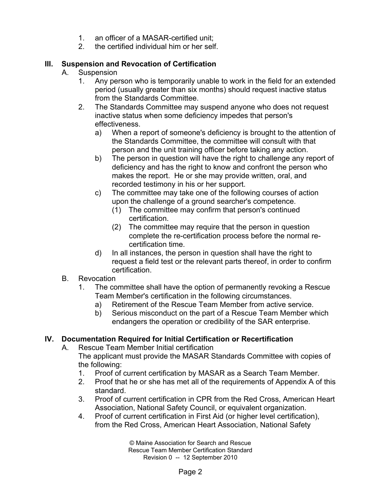- 1. an officer of a MASAR-certified unit;
- 2. the certified individual him or her self.

## **III. Suspension and Revocation of Certification**

- A. Suspension
	- 1. Any person who is temporarily unable to work in the field for an extended period (usually greater than six months) should request inactive status from the Standards Committee.
	- 2. The Standards Committee may suspend anyone who does not request inactive status when some deficiency impedes that person's effectiveness.
		- a) When a report of someone's deficiency is brought to the attention of the Standards Committee, the committee will consult with that person and the unit training officer before taking any action.
		- b) The person in question will have the right to challenge any report of deficiency and has the right to know and confront the person who makes the report. He or she may provide written, oral, and recorded testimony in his or her support.
		- c) The committee may take one of the following courses of action upon the challenge of a ground searcher's competence.
			- (1) The committee may confirm that person's continued certification.
			- (2) The committee may require that the person in question complete the re-certification process before the normal recertification time.
		- d) In all instances, the person in question shall have the right to request a field test or the relevant parts thereof, in order to confirm certification.
- B. Revocation
	- 1. The committee shall have the option of permanently revoking a Rescue Team Member's certification in the following circumstances.
		- a) Retirement of the Rescue Team Member from active service.
		- b) Serious misconduct on the part of a Rescue Team Member which endangers the operation or credibility of the SAR enterprise.

# **IV. Documentation Required for Initial Certification or Recertification**

A. Rescue Team Member Initial certification

The applicant must provide the MASAR Standards Committee with copies of the following:

- 1. Proof of current certification by MASAR as a Search Team Member.
- 2. Proof that he or she has met all of the requirements of Appendix A of this standard.
- 3. Proof of current certification in CPR from the Red Cross, American Heart Association, National Safety Council, or equivalent organization.
- 4. Proof of current certification in First Aid (or higher level certification), from the Red Cross, American Heart Association, National Safety

© Maine Association for Search and Rescue Rescue Team Member Certification Standard Revision 0 -- 12 September 2010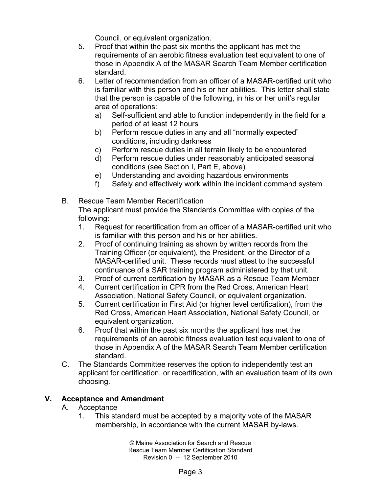Council, or equivalent organization.

- 5. Proof that within the past six months the applicant has met the requirements of an aerobic fitness evaluation test equivalent to one of those in Appendix A of the MASAR Search Team Member certification standard.
- 6. Letter of recommendation from an officer of a MASAR-certified unit who is familiar with this person and his or her abilities. This letter shall state that the person is capable of the following, in his or her unit's regular area of operations:
	- a) Self-sufficient and able to function independently in the field for a period of at least 12 hours
	- b) Perform rescue duties in any and all "normally expected" conditions, including darkness
	- c) Perform rescue duties in all terrain likely to be encountered
	- d) Perform rescue duties under reasonably anticipated seasonal conditions (see Section I, Part E, above)
	- e) Understanding and avoiding hazardous environments
	- f) Safely and effectively work within the incident command system
- B. Rescue Team Member Recertification The applicant must provide the Standards Committee with copies of the following:
	- 1. Request for recertification from an officer of a MASAR-certified unit who is familiar with this person and his or her abilities.
	- 2. Proof of continuing training as shown by written records from the Training Officer (or equivalent), the President, or the Director of a MASAR-certified unit. These records must attest to the successful continuance of a SAR training program administered by that unit.
	- 3. Proof of current certification by MASAR as a Rescue Team Member
	- 4. Current certification in CPR from the Red Cross, American Heart Association, National Safety Council, or equivalent organization.
	- 5. Current certification in First Aid (or higher level certification), from the Red Cross, American Heart Association, National Safety Council, or equivalent organization.
	- 6. Proof that within the past six months the applicant has met the requirements of an aerobic fitness evaluation test equivalent to one of those in Appendix A of the MASAR Search Team Member certification standard.
- C. The Standards Committee reserves the option to independently test an applicant for certification, or recertification, with an evaluation team of its own choosing.

# **V. Acceptance and Amendment**

- A. Acceptance
	- 1. This standard must be accepted by a majority vote of the MASAR membership, in accordance with the current MASAR by-laws.

© Maine Association for Search and Rescue Rescue Team Member Certification Standard Revision 0 -- 12 September 2010